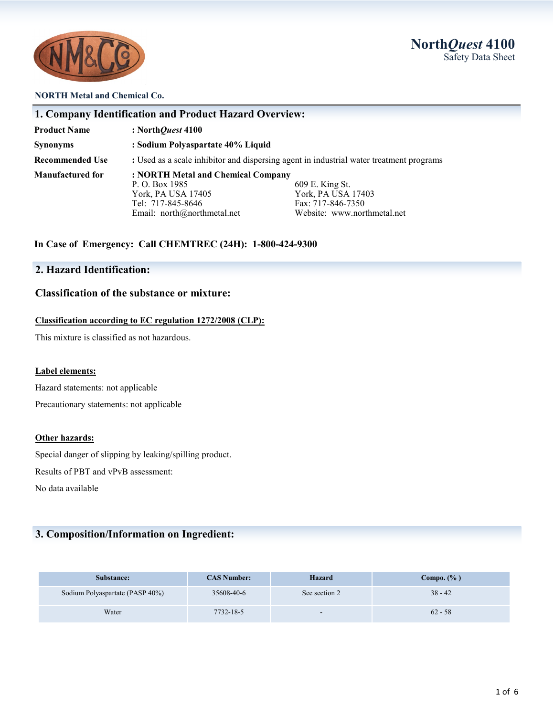



#### **NORTH Metal and Chemical Co.**

| <b>Product Name</b>     | : North <i>Quest</i> $4100$                                                                                                      |                                                                                           |
|-------------------------|----------------------------------------------------------------------------------------------------------------------------------|-------------------------------------------------------------------------------------------|
| Synonyms                | : Sodium Polyaspartate 40% Liquid                                                                                                |                                                                                           |
| <b>Recommended Use</b>  | : Used as a scale inhibitor and dispersing agent in industrial water treatment programs                                          |                                                                                           |
| <b>Manufactured for</b> | : NORTH Metal and Chemical Company<br>P. O. Box 1985<br>York, PA USA 17405<br>Tel: 717-845-8646<br>Email: $north@northmetal.net$ | 609 E. King St.<br>York, PA USA 17403<br>Fax: 717-846-7350<br>Website: www.northmetal.net |

## **2. Hazard Identification:**

## **Classification of the substance or mixture:**

#### **Classification according to EC regulation 1272/2008 (CLP):**

This mixture is classified as not hazardous.

#### **Label elements:**

Hazard statements: not applicable

Precautionary statements: not applicable

#### **Other hazards:**

Special danger of slipping by leaking/spilling product.

Results of PBT and vPvB assessment:

No data available

## **3. Composition/Information on Ingredient:**

| Substance:                      | <b>CAS Number:</b> | Hazard                   | Compo. $(\%$ ) |
|---------------------------------|--------------------|--------------------------|----------------|
| Sodium Polyaspartate (PASP 40%) | 35608-40-6         | See section 2            | $38 - 42$      |
| Water                           | 7732-18-5          | $\overline{\phantom{a}}$ | $62 - 58$      |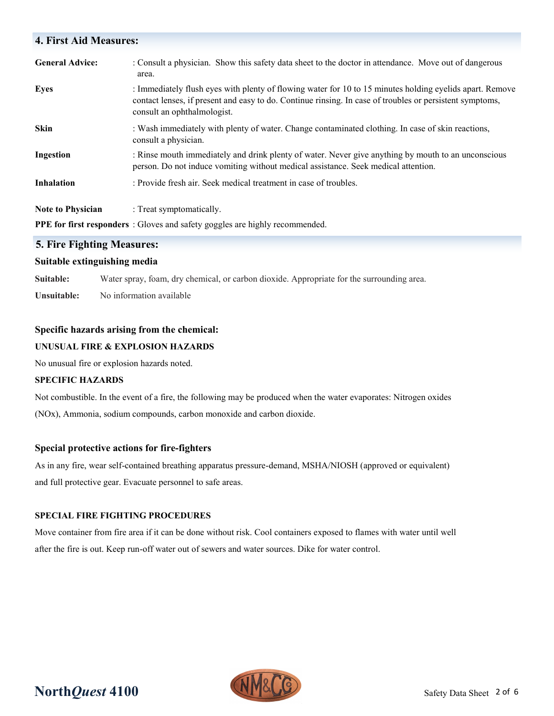# **4. First Aid Measures: General Advice:** : Consult a physician. Show this safety data sheet to the doctor in attendance. Move out of dangerous area. **Eyes** : Immediately flush eyes with plenty of flowing water for 10 to 15 minutes holding eyelids apart. Remove contact lenses, if present and easy to do. Continue rinsing. In case of troubles or persistent symptoms, consult an ophthalmologist. **Skin** : Wash immediately with plenty of water. Change contaminated clothing. In case of skin reactions, consult a physician. **Ingestion** : Rinse mouth immediately and drink plenty of water. Never give anything by mouth to an unconscious person. Do not induce vomiting without medical assistance. Seek medical attention. **Inhalation** : Provide fresh air. Seek medical treatment in case of troubles. **Note to Physician** : Treat symptomatically. **PPE for first responders** : Gloves and safety goggles are highly recommended.

## **5. Fire Fighting Measures:**

## **Suitable extinguishing media**

**Suitable:** Water spray, foam, dry chemical, or carbon dioxide. Appropriate for the surrounding area. **Unsuitable:** No information available

## **Specific hazards arising from the chemical:**

## **UNUSUAL FIRE & EXPLOSION HAZARDS**

No unusual fire or explosion hazards noted.

## **SPECIFIC HAZARDS**

Not combustible. In the event of a fire, the following may be produced when the water evaporates: Nitrogen oxides (NOx), Ammonia, sodium compounds, carbon monoxide and carbon dioxide.

## **Special protective actions for fire-fighters**

As in any fire, wear self-contained breathing apparatus pressure-demand, MSHA/NIOSH (approved or equivalent) and full protective gear. Evacuate personnel to safe areas.

## **SPECIAL FIRE FIGHTING PROCEDURES**

Move container from fire area if it can be done without risk. Cool containers exposed to flames with water until well after the fire is out. Keep run-off water out of sewers and water sources. Dike for water control.

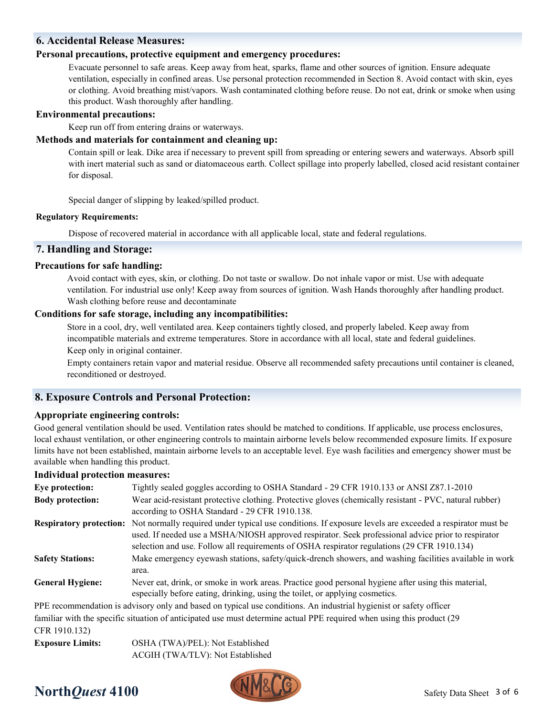## **6. Accidental Release Measures:**

#### **Personal precautions, protective equipment and emergency procedures:**

Evacuate personnel to safe areas. Keep away from heat, sparks, flame and other sources of ignition. Ensure adequate ventilation, especially in confined areas. Use personal protection recommended in Section 8. Avoid contact with skin, eyes or clothing. Avoid breathing mist/vapors. Wash contaminated clothing before reuse. Do not eat, drink or smoke when using this product. Wash thoroughly after handling.

#### **Environmental precautions:**

Keep run off from entering drains or waterways.

#### **Methods and materials for containment and cleaning up:**

Contain spill or leak. Dike area if necessary to prevent spill from spreading or entering sewers and waterways. Absorb spill with inert material such as sand or diatomaceous earth. Collect spillage into properly labelled, closed acid resistant container for disposal.

Special danger of slipping by leaked/spilled product.

#### **Regulatory Requirements:**

Dispose of recovered material in accordance with all applicable local, state and federal regulations.

## **7. Handling and Storage:**

## **Precautions for safe handling:**

Avoid contact with eyes, skin, or clothing. Do not taste or swallow. Do not inhale vapor or mist. Use with adequate ventilation. For industrial use only! Keep away from sources of ignition. Wash Hands thoroughly after handling product. Wash clothing before reuse and decontaminate

#### **Conditions for safe storage, including any incompatibilities:**

Store in a cool, dry, well ventilated area. Keep containers tightly closed, and properly labeled. Keep away from incompatible materials and extreme temperatures. Store in accordance with all local, state and federal guidelines.

Keep only in original container.

Empty containers retain vapor and material residue. Observe all recommended safety precautions until container is cleaned, reconditioned or destroyed.

## **8. Exposure Controls and Personal Protection:**

## **Appropriate engineering controls:**

Good general ventilation should be used. Ventilation rates should be matched to conditions. If applicable, use process enclosures, local exhaust ventilation, or other engineering controls to maintain airborne levels below recommended exposure limits. If exposure limits have not been established, maintain airborne levels to an acceptable level. Eye wash facilities and emergency shower must be available when handling this product.

#### **Individual protection measures:**

| murviudar protection measures. |                                                                                                                                                                                                                                                                                                               |
|--------------------------------|---------------------------------------------------------------------------------------------------------------------------------------------------------------------------------------------------------------------------------------------------------------------------------------------------------------|
| Eye protection:                | Tightly sealed goggles according to OSHA Standard - 29 CFR 1910.133 or ANSI Z87.1-2010                                                                                                                                                                                                                        |
| <b>Body protection:</b>        | Wear acid-resistant protective clothing. Protective gloves (chemically resistant - PVC, natural rubber)<br>according to OSHA Standard - 29 CFR 1910.138.                                                                                                                                                      |
| <b>Respiratory protection:</b> | Not normally required under typical use conditions. If exposure levels are exceeded a respirator must be<br>used. If needed use a MSHA/NIOSH approved respirator. Seek professional advice prior to respirator<br>selection and use. Follow all requirements of OSHA respirator regulations (29 CFR 1910.134) |
| <b>Safety Stations:</b>        | Make emergency eyewash stations, safety/quick-drench showers, and washing facilities available in work<br>area.                                                                                                                                                                                               |
| <b>General Hygiene:</b>        | Never eat, drink, or smoke in work areas. Practice good personal hygiene after using this material,<br>especially before eating, drinking, using the toilet, or applying cosmetics.                                                                                                                           |
|                                | PPE recommendation is advisory only and based on typical use conditions. An industrial hygienist or safety officer                                                                                                                                                                                            |
|                                | familiar with the specific situation of anticipated use must determine actual PPE required when using this product (29)                                                                                                                                                                                       |

CFR 1910.132)

**Exposure Limits:** OSHA (TWA)/PEL): Not Established ACGIH (TWA/TLV): Not Established

# **North***Quest* 4100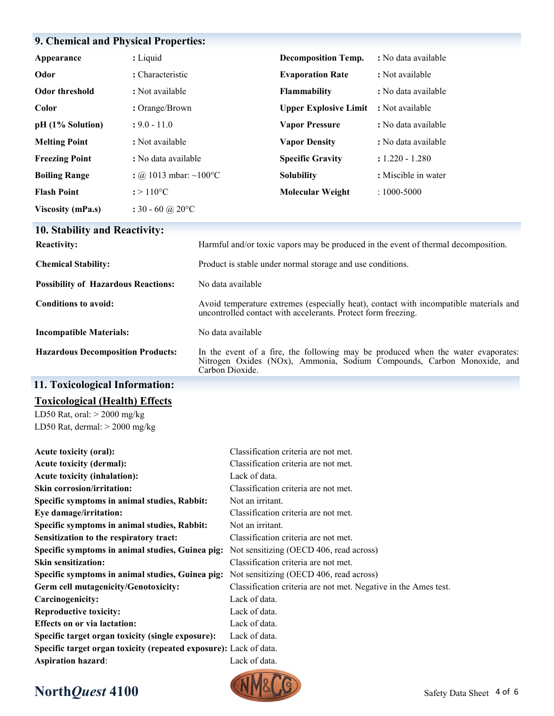## **9. Chemical and Physical Properties:**

| Appearance               | : Liquid                    | <b>Decomposition Temp.</b>   | : No data available |
|--------------------------|-----------------------------|------------------------------|---------------------|
| Odor                     | : Characteristic            | <b>Evaporation Rate</b>      | : Not available     |
| <b>Odor threshold</b>    | : Not available             | <b>Flammability</b>          | : No data available |
| Color                    | : Orange/Brown              | <b>Upper Explosive Limit</b> | : Not available     |
| pH (1% Solution)         | $: 9.0 - 11.0$              | <b>Vapor Pressure</b>        | : No data available |
| <b>Melting Point</b>     | : Not available             | <b>Vapor Density</b>         | : No data available |
| <b>Freezing Point</b>    | : No data available         | <b>Specific Gravity</b>      | $: 1.220 - 1.280$   |
| <b>Boiling Range</b>     | : @ 1013 mbar: ~100 °C      | <b>Solubility</b>            | : Miscible in water |
| <b>Flash Point</b>       | $: > 110^{\circ}C$          | <b>Molecular Weight</b>      | $: 1000 - 5000$     |
| <b>Viscosity (mPa.s)</b> | : 30 - 60 @ 20 $^{\circ}$ C |                              |                     |

# **10. Stability and Reactivity:**

| <b>Reactivity:</b>                         | Harmful and/or toxic vapors may be produced in the event of thermal decomposition.                                                                                            |
|--------------------------------------------|-------------------------------------------------------------------------------------------------------------------------------------------------------------------------------|
| <b>Chemical Stability:</b>                 | Product is stable under normal storage and use conditions.                                                                                                                    |
| <b>Possibility of Hazardous Reactions:</b> | No data available                                                                                                                                                             |
| Conditions to avoid:                       | Avoid temperature extremes (especially heat), contact with incompatible materials and<br>uncontrolled contact with accelerants. Protect form freezing.                        |
| <b>Incompatible Materials:</b>             | No data available                                                                                                                                                             |
| <b>Hazardous Decomposition Products:</b>   | In the event of a fire, the following may be produced when the water evaporates:<br>Nitrogen Oxides (NOx), Ammonia, Sodium Compounds, Carbon Monoxide, and<br>Carbon Dioxide. |

## **11. Toxicological Information:**

## **Toxicological (Health) Effects**

LD50 Rat, oral: > 2000 mg/kg LD50 Rat, dermal: > 2000 mg/kg

| Acute toxicity (oral):                                            | Classification criteria are not met.                            |
|-------------------------------------------------------------------|-----------------------------------------------------------------|
| <b>Acute toxicity (dermal):</b>                                   | Classification criteria are not met.                            |
| <b>Acute toxicity (inhalation):</b>                               | Lack of data.                                                   |
| <b>Skin corrosion/irritation:</b>                                 | Classification criteria are not met.                            |
| Specific symptoms in animal studies, Rabbit:                      | Not an irritant.                                                |
| Eye damage/irritation:                                            | Classification criteria are not met.                            |
| Specific symptoms in animal studies, Rabbit:                      | Not an irritant.                                                |
| Sensitization to the respiratory tract:                           | Classification criteria are not met.                            |
| Specific symptoms in animal studies, Guinea pig:                  | Not sensitizing (OECD 406, read across)                         |
| <b>Skin sensitization:</b>                                        | Classification criteria are not met.                            |
| Specific symptoms in animal studies, Guinea pig:                  | Not sensitizing (OECD 406, read across)                         |
| Germ cell mutagenicity/Genotoxicity:                              | Classification criteria are not met. Negative in the Ames test. |
| Carcinogenicity:                                                  | Lack of data.                                                   |
| <b>Reproductive toxicity:</b>                                     | Lack of data.                                                   |
| <b>Effects on or via lactation:</b>                               | Lack of data.                                                   |
| Specific target organ toxicity (single exposure):                 | Lack of data.                                                   |
| Specific target organ toxicity (repeated exposure): Lack of data. |                                                                 |
| <b>Aspiration hazard:</b>                                         | Lack of data.                                                   |

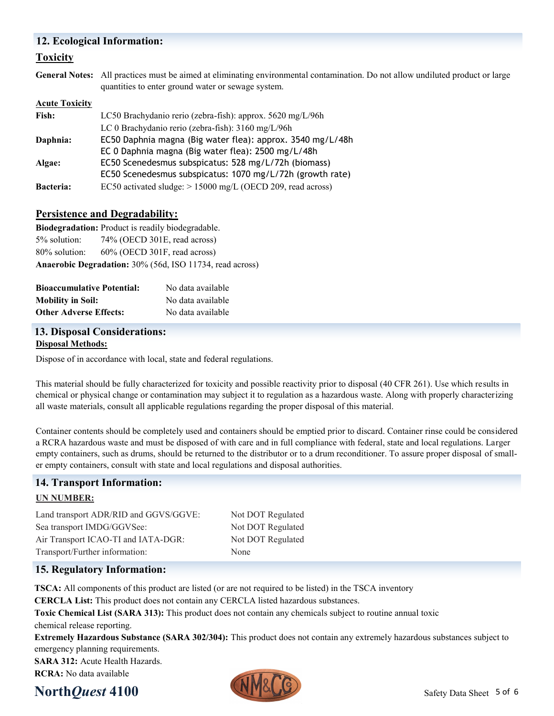## **12. Ecological Information:**

## **Toxicity**

**General Notes:** All practices must be aimed at eliminating environmental contamination. Do not allow undiluted product or large quantities to enter ground water or sewage system.

#### **Acute Toxicity**

| Fish:            | LC50 Brachydanio rerio (zebra-fish): approx. 5620 mg/L/96h    |  |
|------------------|---------------------------------------------------------------|--|
|                  | LC 0 Brachydanio rerio (zebra-fish): 3160 mg/L/96h            |  |
| Daphnia:         | EC50 Daphnia magna (Big water flea): approx. 3540 mg/L/48h    |  |
|                  | EC 0 Daphnia magna (Big water flea): 2500 mg/L/48h            |  |
| Algae:           | EC50 Scenedesmus subspicatus: 528 mg/L/72h (biomass)          |  |
|                  | EC50 Scenedesmus subspicatus: 1070 mg/L/72h (growth rate)     |  |
| <b>Bacteria:</b> | EC50 activated sludge: $> 15000$ mg/L (OECD 209, read across) |  |

## **Persistence and Degradability:**

**Biodegradation:** Product is readily biodegradable. 5% solution: 74% (OECD 301E, read across) 80% solution: 60% (OECD 301F, read across) **Anaerobic Degradation:** 30% (56d, ISO 11734, read across)

| <b>Bioaccumulative Potential:</b> | No data available |
|-----------------------------------|-------------------|
| <b>Mobility in Soil:</b>          | No data available |
| <b>Other Adverse Effects:</b>     | No data available |

## **13. Disposal Considerations:**

#### **Disposal Methods:**

Dispose of in accordance with local, state and federal regulations.

This material should be fully characterized for toxicity and possible reactivity prior to disposal (40 CFR 261). Use which results in chemical or physical change or contamination may subject it to regulation as a hazardous waste. Along with properly characterizing all waste materials, consult all applicable regulations regarding the proper disposal of this material.

Container contents should be completely used and containers should be emptied prior to discard. Container rinse could be considered a RCRA hazardous waste and must be disposed of with care and in full compliance with federal, state and local regulations. Larger empty containers, such as drums, should be returned to the distributor or to a drum reconditioner. To assure proper disposal of smaller empty containers, consult with state and local regulations and disposal authorities.

## **14. Transport Information:**

## **UN NUMBER:**

Land transport ADR/RID and GGVS/GGVE: Not DOT Regulated Sea transport IMDG/GGVSee: Not DOT Regulated Air Transport ICAO-TI and IATA-DGR: Not DOT Regulated Transport/Further information: None

## **15. Regulatory Information:**

**TSCA:** All components of this product are listed (or are not required to be listed) in the TSCA inventory

**CERCLA List:** This product does not contain any CERCLA listed hazardous substances.

**Toxic Chemical List (SARA 313):** This product does not contain any chemicals subject to routine annual toxic chemical release reporting.

**Extremely Hazardous Substance (SARA 302/304):** This product does not contain any extremely hazardous substances subject to emergency planning requirements.

**SARA 312: Acute Health Hazards. RCRA:** No data available

# **North***Quest* 4100